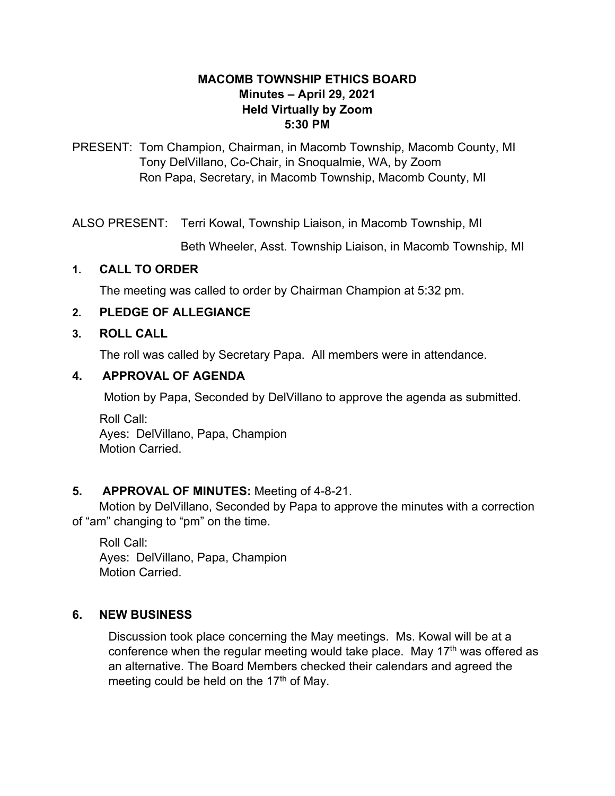#### **MACOMB TOWNSHIP ETHICS BOARD Minutes – April 29, 2021 Held Virtually by Zoom 5:30 PM**

PRESENT: Tom Champion, Chairman, in Macomb Township, Macomb County, MI Tony DelVillano, Co-Chair, in Snoqualmie, WA, by Zoom Ron Papa, Secretary, in Macomb Township, Macomb County, MI

ALSO PRESENT: Terri Kowal, Township Liaison, in Macomb Township, MI

Beth Wheeler, Asst. Township Liaison, in Macomb Township, MI

# **1. CALL TO ORDER**

The meeting was called to order by Chairman Champion at 5:32 pm.

# **2. PLEDGE OF ALLEGIANCE**

# **3. ROLL CALL**

The roll was called by Secretary Papa. All members were in attendance.

# **4. APPROVAL OF AGENDA**

Motion by Papa, Seconded by DelVillano to approve the agenda as submitted.

Roll Call: Ayes: DelVillano, Papa, Champion Motion Carried.

# **5. APPROVAL OF MINUTES:** Meeting of 4-8-21.

 Motion by DelVillano, Seconded by Papa to approve the minutes with a correction of "am" changing to "pm" on the time.

Roll Call: Ayes: DelVillano, Papa, Champion Motion Carried.

# **6. NEW BUSINESS**

Discussion took place concerning the May meetings. Ms. Kowal will be at a conference when the regular meeting would take place. May  $17<sup>th</sup>$  was offered as an alternative. The Board Members checked their calendars and agreed the meeting could be held on the 17<sup>th</sup> of May.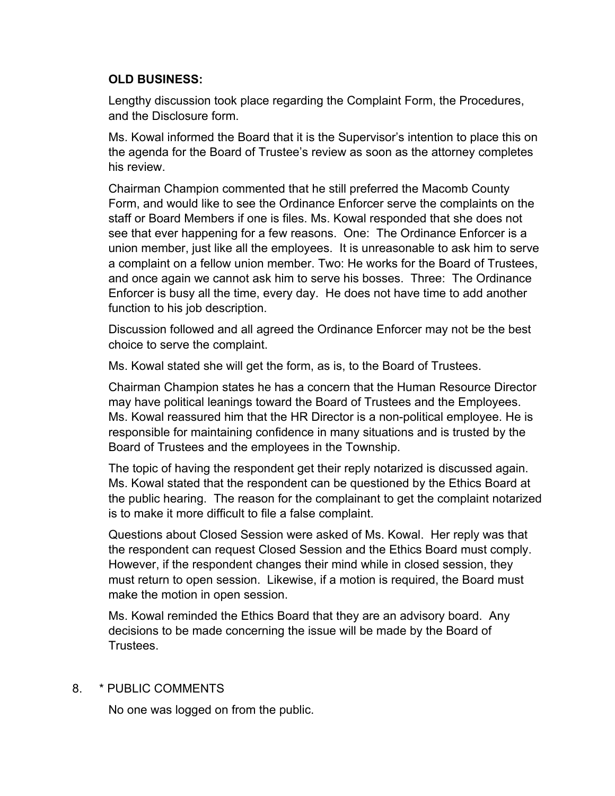#### **OLD BUSINESS:**

Lengthy discussion took place regarding the Complaint Form, the Procedures, and the Disclosure form.

Ms. Kowal informed the Board that it is the Supervisor's intention to place this on the agenda for the Board of Trustee's review as soon as the attorney completes his review.

Chairman Champion commented that he still preferred the Macomb County Form, and would like to see the Ordinance Enforcer serve the complaints on the staff or Board Members if one is files. Ms. Kowal responded that she does not see that ever happening for a few reasons. One: The Ordinance Enforcer is a union member, just like all the employees. It is unreasonable to ask him to serve a complaint on a fellow union member. Two: He works for the Board of Trustees, and once again we cannot ask him to serve his bosses. Three: The Ordinance Enforcer is busy all the time, every day. He does not have time to add another function to his job description.

Discussion followed and all agreed the Ordinance Enforcer may not be the best choice to serve the complaint.

Ms. Kowal stated she will get the form, as is, to the Board of Trustees.

Chairman Champion states he has a concern that the Human Resource Director may have political leanings toward the Board of Trustees and the Employees. Ms. Kowal reassured him that the HR Director is a non-political employee. He is responsible for maintaining confidence in many situations and is trusted by the Board of Trustees and the employees in the Township.

The topic of having the respondent get their reply notarized is discussed again. Ms. Kowal stated that the respondent can be questioned by the Ethics Board at the public hearing. The reason for the complainant to get the complaint notarized is to make it more difficult to file a false complaint.

Questions about Closed Session were asked of Ms. Kowal. Her reply was that the respondent can request Closed Session and the Ethics Board must comply. However, if the respondent changes their mind while in closed session, they must return to open session. Likewise, if a motion is required, the Board must make the motion in open session.

Ms. Kowal reminded the Ethics Board that they are an advisory board. Any decisions to be made concerning the issue will be made by the Board of **Trustees** 

8. \* PUBLIC COMMENTS

No one was logged on from the public.